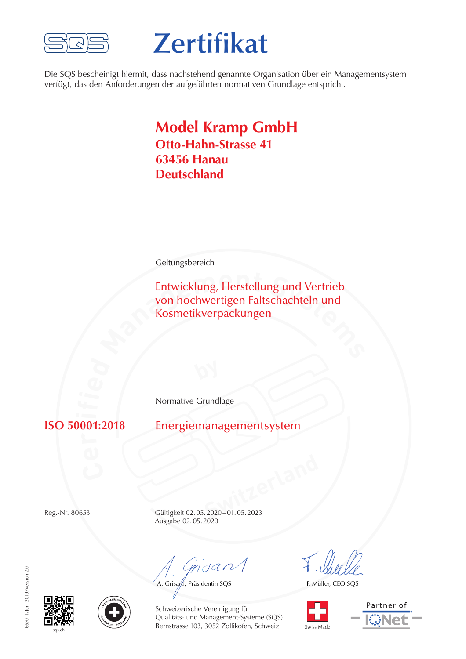

# **Zertifikat**

Die SQS bescheinigt hiermit, dass nachstehend genannte Organisation über ein Managementsystem verfügt, das den Anforderungen der aufgeführten normativen Grundlage entspricht.

### **Model Kramp GmbH Otto-Hahn-Strasse 41 63456 Hanau Deutschland**

**Geltungsbereich** 

Entwicklung, Herstellung und Vertrieb<br>von hochwertigen Faltschachteln und<br>Kosmetikverpackungen Entwicklung, Herstellung und Vertrieb von hochwertigen Faltschachteln und Kosmetikverpackungen

Normative Grundlage

**001** 

**ISO 50001:2018** Energiemanagementsystem

**Switzerland** Reg.-Nr. 80653 Gültigkeit 02.05.2020–01.05.2023 Ausgabe 02.05.2020

Gnsant

A. Grisard, Präsidentin SQS

F. Müller, CEO SQS



Partner of





Schweizerische Vereinigung für Qualitäts- und Management-Systeme (SQS) Bernstrasse 103, 3052 Zollikofen, Schweiz